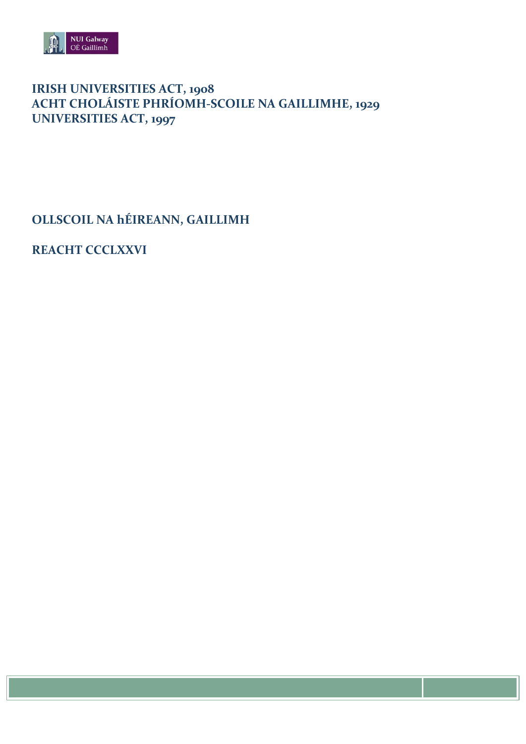

# IRISH UNIVERSITIES ACT, 1908<br>ACHT CHOLÁISTE PHRÍOMH-SCOILE NA GAILLIMHE, 1929 **UNIVERSITIES ACT, 1997**

OLLSCOIL NA hÉIREANN, GAILLIMH

**REACHT CCCLXXVI**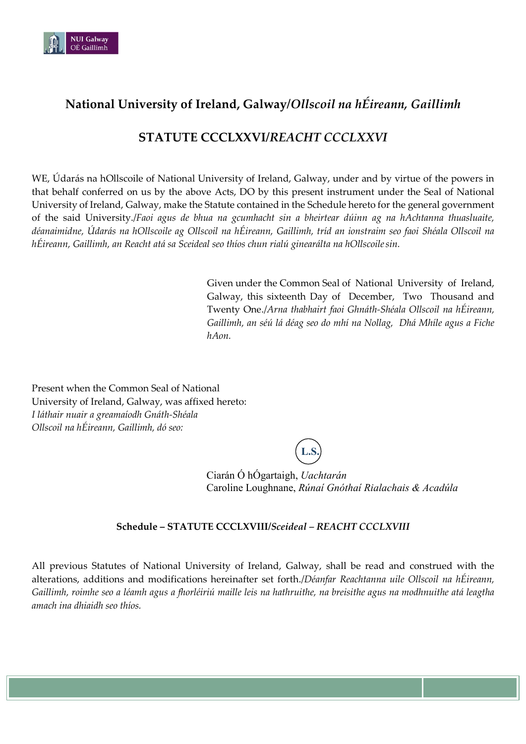

## **National University of Ireland, Galway/***Ollscoil na hÉireann, Gaillimh*

## **STATUTE CCCLXXVI/***REACHT CCCLXXVI*

WE, Údarás na hOllscoile of National University of Ireland, Galway, under and by virtue of the powers in that behalf conferred on us by the above Acts, DO by this present instrument under the Seal of National University of Ireland, Galway, make the Statute contained in the Schedule hereto for the general government of the said University./*Faoi agus de bhua na gcumhacht sin a bheirtear dúinn ag na hAchtanna thuasluaite, déanaimidne, Údarás na hOllscoile ag Ollscoil na hÉireann, Gaillimh, tríd an ionstraim seo faoi Shéala Ollscoil na hÉireann, Gaillimh, an Reacht atá sa Sceideal seo thíos chun rialú ginearálta na hOllscoilesin.*

> Given under the Common Seal of National University of Ireland, Galway, this sixteenth Day of December, Two Thousand and Twenty One./*Arna thabhairt faoi Ghnáth-Shéala Ollscoil na hÉireann, Gaillimh, an séú lá déag seo do mhí na Nollag, Dhá Mhíle agus a Fiche hAon.*

Present when the Common Seal of National University of Ireland, Galway, was affixed hereto: *I láthair nuair a greamaíodh Gnáth-Shéala Ollscoil na hÉireann, Gaillimh, dó seo:*

**L.S.**

Ciarán Ó hÓgartaigh, *Uachtarán*  Caroline Loughnane, *Rúnaí Gnóthaí Rialachais & Acadúla* 

### **Schedule – STATUTE CCCLXVIII/***Sceideal – REACHT CCCLXVIII*

All previous Statutes of National University of Ireland, Galway, shall be read and construed with the alterations, additions and modifications hereinafter set forth./*Déanfar Reachtanna uile Ollscoil na hÉireann, Gaillimh, roimhe seo a léamh agus a fhorléiriú maille leis na hathruithe, na breisithe agus na modhnuithe atá leagtha amach ina dhiaidh seo thíos.*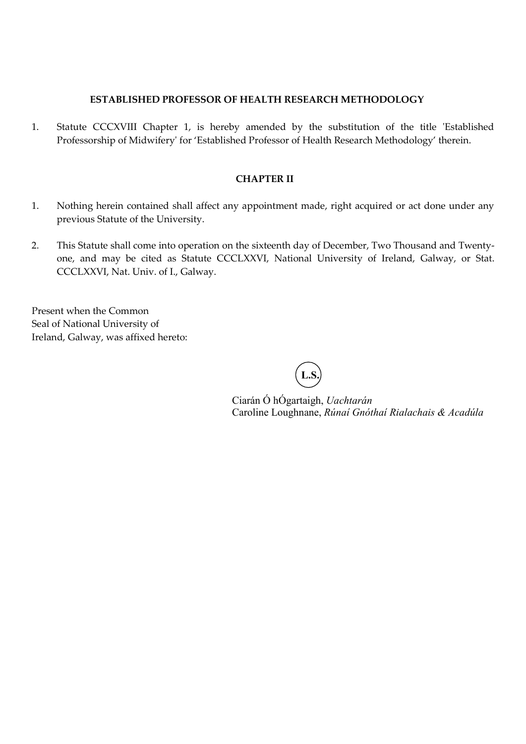#### **ESTABLISHED PROFESSOR OF HEALTH RESEARCH METHODOLOGY**

1. Statute CCCXVIII Chapter 1, is hereby amended by the substitution of the title 'Established Professorship of Midwifery' for 'Established Professor of Health Research Methodology' therein.

#### **CHAPTER II**

- 1. Nothing herein contained shall affect any appointment made, right acquired or act done under any previous Statute of the University.
- 2. This Statute shall come into operation on the sixteenth day of December, Two Thousand and Twentyone, and may be cited as Statute CCCLXXVI, National University of Ireland, Galway, or Stat. CCCLXXVI, Nat. Univ. of I., Galway.

Present when the Common Seal of National University of Ireland, Galway, was affixed hereto:

**L.S.**

Ciarán Ó hÓgartaigh, *Uachtarán*  Caroline Loughnane, *Rúnaí Gnóthaí Rialachais & Acadúla*